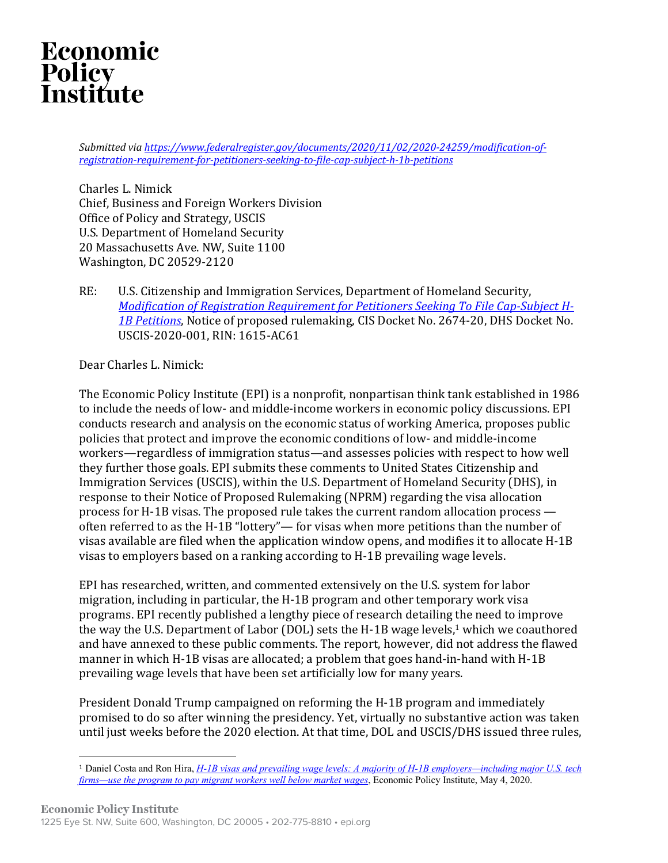# Economic Policy<br>Institute

Submitted via https://www.federalregister.gov/documents/2020/11/02/2020-24259/modification-of*registration-requirement-for-petitioners-seeking-to-file-cap-subject-h-1b-petitions*

Charles L. Nimick Chief, Business and Foreign Workers Division Office of Policy and Strategy, USCIS U.S. Department of Homeland Security 20 Massachusetts Ave. NW, Suite 1100 Washington, DC 20529-2120

RE: U.S. Citizenship and Immigration Services, Department of Homeland Security, *Modification of Registration Requirement for Petitioners Seeking To File Cap-Subject H-*1B Petitions, Notice of proposed rulemaking, CIS Docket No. 2674-20, DHS Docket No. USCIS-2020-001, RIN: 1615-AC61

Dear Charles L. Nimick:

The Economic Policy Institute (EPI) is a nonprofit, nonpartisan think tank established in 1986 to include the needs of low- and middle-income workers in economic policy discussions. EPI conducts research and analysis on the economic status of working America, proposes public policies that protect and improve the economic conditions of low- and middle-income workers—regardless of immigration status—and assesses policies with respect to how well they further those goals. EPI submits these comments to United States Citizenship and Immigration Services (USCIS), within the U.S. Department of Homeland Security (DHS), in response to their Notice of Proposed Rulemaking (NPRM) regarding the visa allocation process for H-1B visas. The proposed rule takes the current random allocation process  $$ often referred to as the H-1B "lottery"— for visas when more petitions than the number of visas available are filed when the application window opens, and modifies it to allocate H-1B visas to employers based on a ranking according to H-1B prevailing wage levels.

EPI has researched, written, and commented extensively on the U.S. system for labor migration, including in particular, the H-1B program and other temporary work visa programs. EPI recently published a lengthy piece of research detailing the need to improve the way the U.S. Department of Labor (DOL) sets the H-1B wage levels,<sup>1</sup> which we coauthored and have annexed to these public comments. The report, however, did not address the flawed manner in which H-1B visas are allocated; a problem that goes hand-in-hand with H-1B prevailing wage levels that have been set artificially low for many years.

President Donald Trump campaigned on reforming the H-1B program and immediately promised to do so after winning the presidency. Yet, virtually no substantive action was taken until just weeks before the 2020 election. At that time, DOL and USCIS/DHS issued three rules,

<sup>1</sup> Daniel Costa and Ron Hira, *H-1B visas and prevailing wage levels: A majority of H-1B employers—including major U.S. tech firms—use the program to pay migrant workers well below market wages*, Economic Policy Institute, May 4, 2020.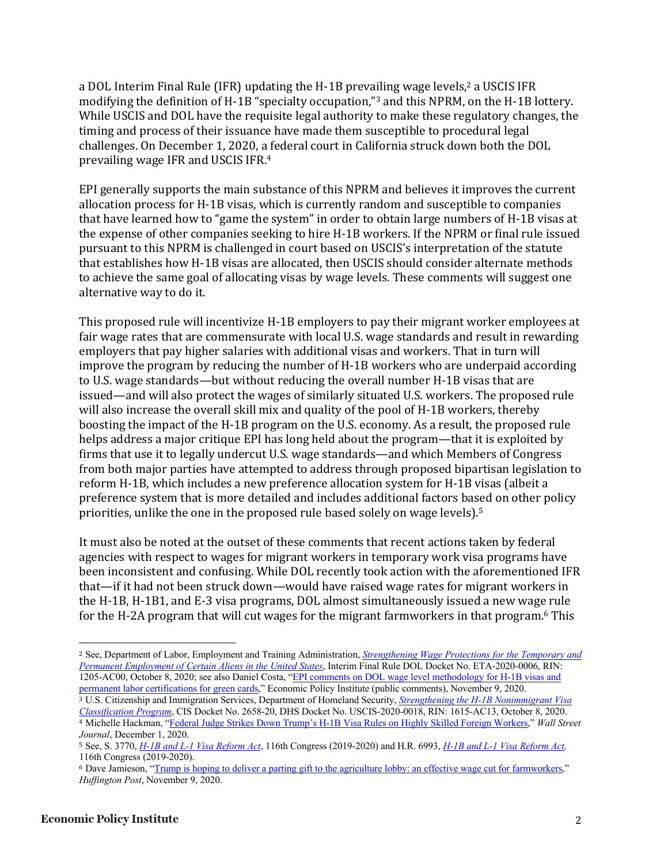a DOL Interim Final Rule (IFR) updating the H-1B prevailing wage levels,<sup>2</sup> a USCIS IFR modifying the definition of H-1B "specialty occupation,"<sup>3</sup> and this NPRM, on the H-1B lottery. While USCIS and DOL have the requisite legal authority to make these regulatory changes, the timing and process of their issuance have made them susceptible to procedural legal challenges. On December 1, 2020, a federal court in California struck down both the DOL prevailing wage IFR and USCIS IFR.<sup>4</sup>

EPI generally supports the main substance of this NPRM and believes it improves the current allocation process for H-1B visas, which is currently random and susceptible to companies that have learned how to "game the system" in order to obtain large numbers of H-1B visas at the expense of other companies seeking to hire H-1B workers. If the NPRM or final rule issued pursuant to this NPRM is challenged in court based on USCIS's interpretation of the statute that establishes how H-1B visas are allocated, then USCIS should consider alternate methods to achieve the same goal of allocating visas by wage levels. These comments will suggest one alternative way to do it.

This proposed rule will incentivize H-1B employers to pay their migrant worker employees at fair wage rates that are commensurate with local U.S. wage standards and result in rewarding employers that pay higher salaries with additional visas and workers. That in turn will improve the program by reducing the number of H-1B workers who are underpaid according to U.S. wage standards—but without reducing the overall number H-1B visas that are issued—and will also protect the wages of similarly situated U.S. workers. The proposed rule will also increase the overall skill mix and quality of the pool of H-1B workers, thereby boosting the impact of the H-1B program on the U.S. economy. As a result, the proposed rule helps address a major critique EPI has long held about the program—that it is exploited by firms that use it to legally undercut U.S. wage standards—and which Members of Congress from both major parties have attempted to address through proposed bipartisan legislation to reform H-1B, which includes a new preference allocation system for H-1B visas (albeit a preference system that is more detailed and includes additional factors based on other policy priorities, unlike the one in the proposed rule based solely on wage levels).<sup>5</sup>

It must also be noted at the outset of these comments that recent actions taken by federal agencies with respect to wages for migrant workers in temporary work visa programs have been inconsistent and confusing. While DOL recently took action with the aforementioned IFR that—if it had not been struck down—would have raised wage rates for migrant workers in the H-1B, H-1B1, and E-3 visa programs, DOL almost simultaneously issued a new wage rule for the H-2A program that will cut wages for the migrant farmworkers in that program.<sup>6</sup> This

<sup>2</sup> See, Department of Labor, Employment and Training Administration, *Strengthening Wage Protections for the Temporary and Permanent Employment of Certain Aliens in the United States*, Interim Final Rule DOL Docket No. ETA-2020-0006, RIN: 1205-AC00, October 8, 2020; see also Daniel Costa, "EPI comments on DOL wage level methodology for H-1B visas and permanent labor certifications for green cards," Economic Policy Institute (public comments), November 9, 2020.

<sup>3</sup> U.S. Citizenship and Immigration Services, Department of Homeland Security, *Strengthening the H-1B Nonimmigrant Visa Classification Program*, CIS Docket No. 2658-20, DHS Docket No. USCIS-2020-0018, RIN: 1615-AC13, October 8, 2020. <sup>4</sup> Michelle Hackman, "Federal Judge Strikes Down Trump's H-1B Visa Rules on Highly Skilled Foreign Workers," *Wall Street Journal*, December 1, 2020.

<sup>5</sup> See, S. 3770, *H-1B and L-1 Visa Reform Act*, 116th Congress (2019-2020) and H.R. 6993, *H-1B and L-1 Visa Reform Act,*  116th Congress (2019-2020).

<sup>6</sup> Dave Jamieson, "Trump is hoping to deliver a parting gift to the agriculture lobby: an effective wage cut for farmworkers," *Huffington Post*, November 9, 2020.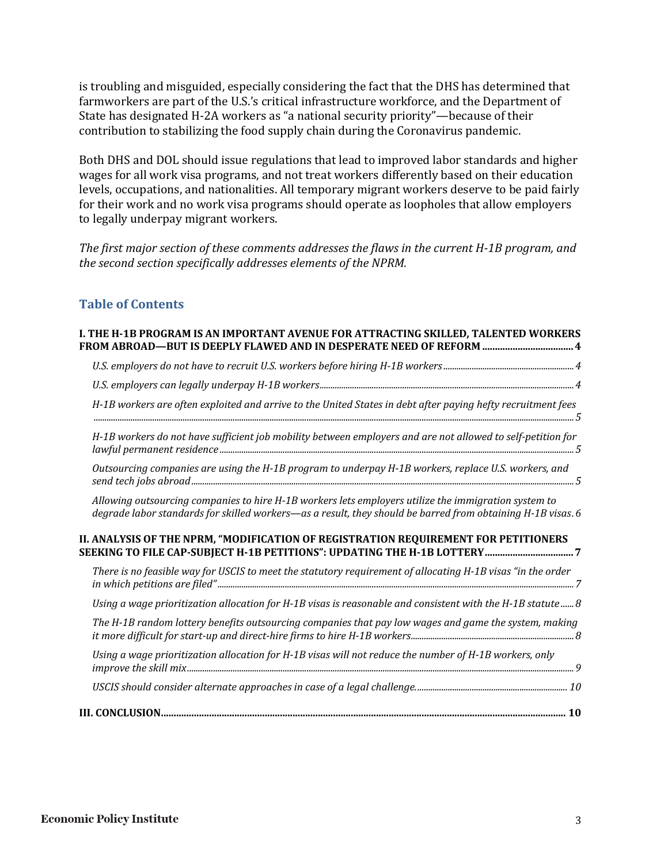is troubling and misguided, especially considering the fact that the DHS has determined that farmworkers are part of the U.S.'s critical infrastructure workforce, and the Department of State has designated H-2A workers as "a national security priority"—because of their contribution to stabilizing the food supply chain during the Coronavirus pandemic.

Both DHS and DOL should issue regulations that lead to improved labor standards and higher wages for all work visa programs, and not treat workers differently based on their education levels, occupations, and nationalities. All temporary migrant workers deserve to be paid fairly for their work and no work visa programs should operate as loopholes that allow employers to legally underpay migrant workers.

The first major section of these comments addresses the flaws in the current H-1B program, and the second section specifically addresses elements of the NPRM.

#### **Table of Contents**

| I. THE H-1B PROGRAM IS AN IMPORTANT AVENUE FOR ATTRACTING SKILLED, TALENTED WORKERS<br>FROM ABROAD-BUT IS DEEPLY FLAWED AND IN DESPERATE NEED OF REFORM  4                                                          |
|---------------------------------------------------------------------------------------------------------------------------------------------------------------------------------------------------------------------|
|                                                                                                                                                                                                                     |
|                                                                                                                                                                                                                     |
| H-1B workers are often exploited and arrive to the United States in debt after paying hefty recruitment fees                                                                                                        |
| H-1B workers do not have sufficient job mobility between employers and are not allowed to self-petition for                                                                                                         |
| Outsourcing companies are using the H-1B program to underpay H-1B workers, replace U.S. workers, and                                                                                                                |
| Allowing outsourcing companies to hire H-1B workers lets employers utilize the immigration system to<br>degrade labor standards for skilled workers—as a result, they should be barred from obtaining H-1B visas. 6 |
| II. ANALYSIS OF THE NPRM, "MODIFICATION OF REGISTRATION REQUIREMENT FOR PETITIONERS                                                                                                                                 |
| There is no feasible way for USCIS to meet the statutory requirement of allocating H-1B visas "in the order                                                                                                         |
| Using a wage prioritization allocation for H-1B visas is reasonable and consistent with the H-1B statute  8                                                                                                         |
| The H-1B random lottery benefits outsourcing companies that pay low wages and game the system, making                                                                                                               |
| Using a wage prioritization allocation for H-1B visas will not reduce the number of H-1B workers, only                                                                                                              |
|                                                                                                                                                                                                                     |
|                                                                                                                                                                                                                     |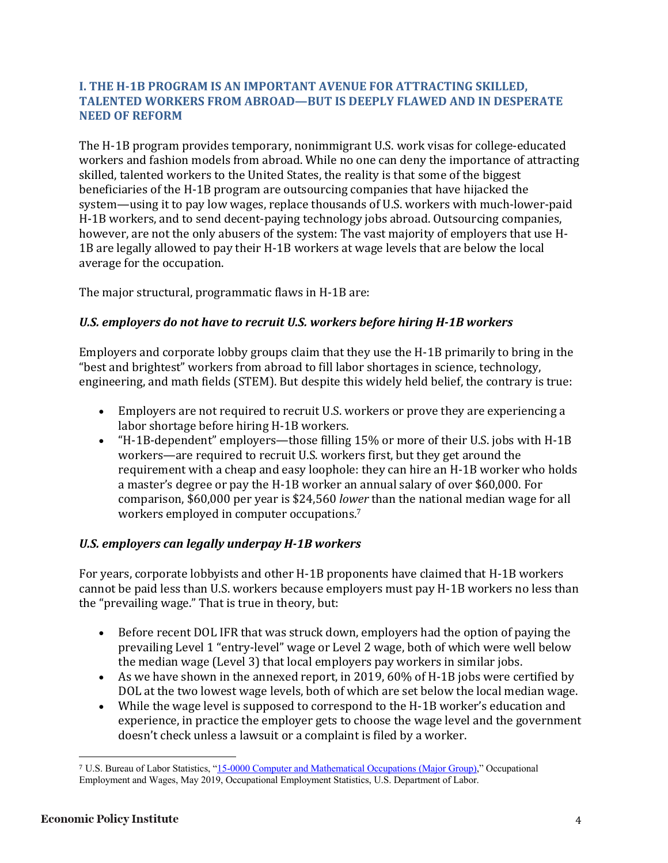#### **I. THE H-1B PROGRAM IS AN IMPORTANT AVENUE FOR ATTRACTING SKILLED. TALENTED WORKERS FROM ABROAD-BUT IS DEEPLY FLAWED AND IN DESPERATE NEED OF REFORM**

The H-1B program provides temporary, nonimmigrant U.S. work visas for college-educated workers and fashion models from abroad. While no one can deny the importance of attracting skilled, talented workers to the United States, the reality is that some of the biggest beneficiaries of the H-1B program are outsourcing companies that have hijacked the system—using it to pay low wages, replace thousands of U.S. workers with much-lower-paid H-1B workers, and to send decent-paying technology jobs abroad. Outsourcing companies, however, are not the only abusers of the system: The vast majority of employers that use H-1B are legally allowed to pay their H-1B workers at wage levels that are below the local average for the occupation.

The major structural, programmatic flaws in H-1B are:

#### U.S. employers do not have to recruit U.S. workers before hiring H-1B workers

Employers and corporate lobby groups claim that they use the H-1B primarily to bring in the "best and brightest" workers from abroad to fill labor shortages in science, technology, engineering, and math fields (STEM). But despite this widely held belief, the contrary is true:

- Employers are not required to recruit U.S. workers or prove they are experiencing a labor shortage before hiring H-1B workers.
- "H-1B-dependent" employers—those filling 15% or more of their U.S. jobs with H-1B workers—are required to recruit U.S. workers first, but they get around the requirement with a cheap and easy loophole: they can hire an H-1B worker who holds a master's degree or pay the H-1B worker an annual salary of over \$60,000. For comparison, \$60,000 per year is \$24,560 *lower* than the national median wage for all workers employed in computer occupations.<sup>7</sup>

#### U.S. employers can legally underpay **H-1B** workers

For years, corporate lobbyists and other H-1B proponents have claimed that H-1B workers cannot be paid less than U.S. workers because employers must pay H-1B workers no less than the "prevailing wage." That is true in theory, but:

- Before recent DOL IFR that was struck down, employers had the option of paying the prevailing Level 1 "entry-level" wage or Level 2 wage, both of which were well below the median wage (Level 3) that local employers pay workers in similar jobs.
- As we have shown in the annexed report, in 2019, 60% of H-1B jobs were certified by DOL at the two lowest wage levels, both of which are set below the local median wage.
- While the wage level is supposed to correspond to the H-1B worker's education and experience, in practice the employer gets to choose the wage level and the government doesn't check unless a lawsuit or a complaint is filed by a worker.

<sup>7</sup> U.S. Bureau of Labor Statistics, "15-0000 Computer and Mathematical Occupations (Major Group)," Occupational Employment and Wages, May 2019, Occupational Employment Statistics, U.S. Department of Labor.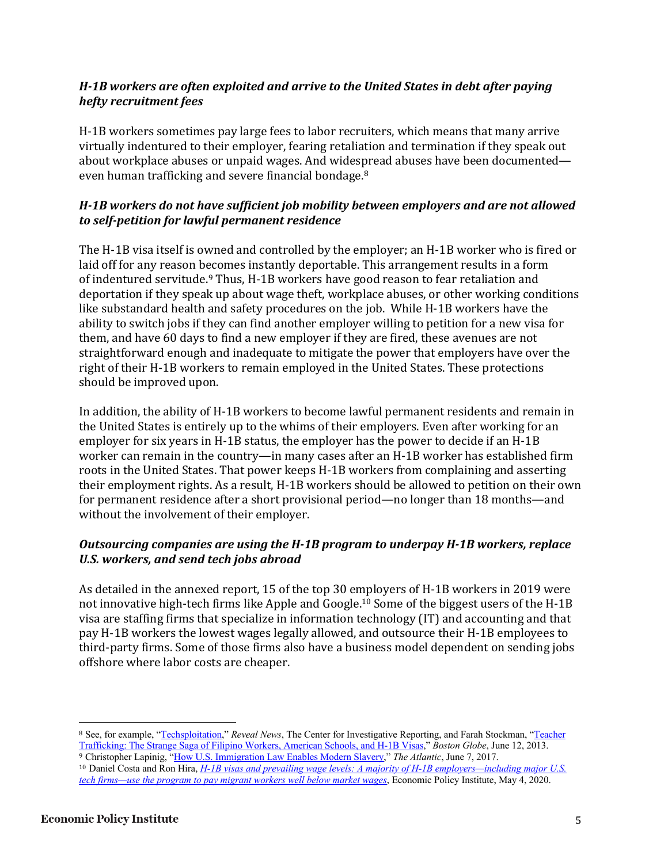# *H-1B* workers are often exploited and arrive to the United States in debt after paying *hefty recruitment fees*

H-1B workers sometimes pay large fees to labor recruiters, which means that many arrive virtually indentured to their employer, fearing retaliation and termination if they speak out about workplace abuses or unpaid wages. And widespread abuses have been documented even human trafficking and severe financial bondage.<sup>8</sup>

# *H-1B* workers do not have sufficient job mobility between employers and are not allowed *to self-petition for lawful permanent residence*

The H-1B visa itself is owned and controlled by the employer; an H-1B worker who is fired or laid off for any reason becomes instantly deportable. This arrangement results in a form of indentured servitude.<sup>9</sup> Thus, H-1B workers have good reason to fear retaliation and deportation if they speak up about wage theft, workplace abuses, or other working conditions like substandard health and safety procedures on the job. While H-1B workers have the ability to switch jobs if they can find another employer willing to petition for a new visa for them, and have 60 days to find a new employer if they are fired, these avenues are not straightforward enough and inadequate to mitigate the power that employers have over the right of their H-1B workers to remain employed in the United States. These protections should be improved upon.

In addition, the ability of H-1B workers to become lawful permanent residents and remain in the United States is entirely up to the whims of their employers. Even after working for an employer for six years in H-1B status, the employer has the power to decide if an H-1B worker can remain in the country—in many cases after an H-1B worker has established firm roots in the United States. That power keeps H-1B workers from complaining and asserting their employment rights. As a result, H-1B workers should be allowed to petition on their own for permanent residence after a short provisional period—no longer than 18 months—and without the involvement of their employer.

# **Outsourcing companies are using the H-1B program to underpay H-1B workers, replace** U.S. workers, and send tech jobs abroad

As detailed in the annexed report, 15 of the top 30 employers of H-1B workers in 2019 were not innovative high-tech firms like Apple and Google.<sup>10</sup> Some of the biggest users of the H-1B visa are staffing firms that specialize in information technology (IT) and accounting and that pay H-1B workers the lowest wages legally allowed, and outsource their H-1B employees to third-party firms. Some of those firms also have a business model dependent on sending jobs offshore where labor costs are cheaper.

<sup>8</sup> See, for example, "Techsploitation," *Reveal News*, The Center for Investigative Reporting, and Farah Stockman, "Teacher Trafficking: The Strange Saga of Filipino Workers, American Schools, and H-1B Visas," *Boston Globe*, June 12, 2013. <sup>9</sup> Christopher Lapinig, "How U.S. Immigration Law Enables Modern Slavery," *The Atlantic*, June 7, 2017.

<sup>10</sup> Daniel Costa and Ron Hira, *H-1B visas and prevailing wage levels: A majority of H-1B employers—including major U.S. tech firms—use the program to pay migrant workers well below market wages*, Economic Policy Institute, May 4, 2020.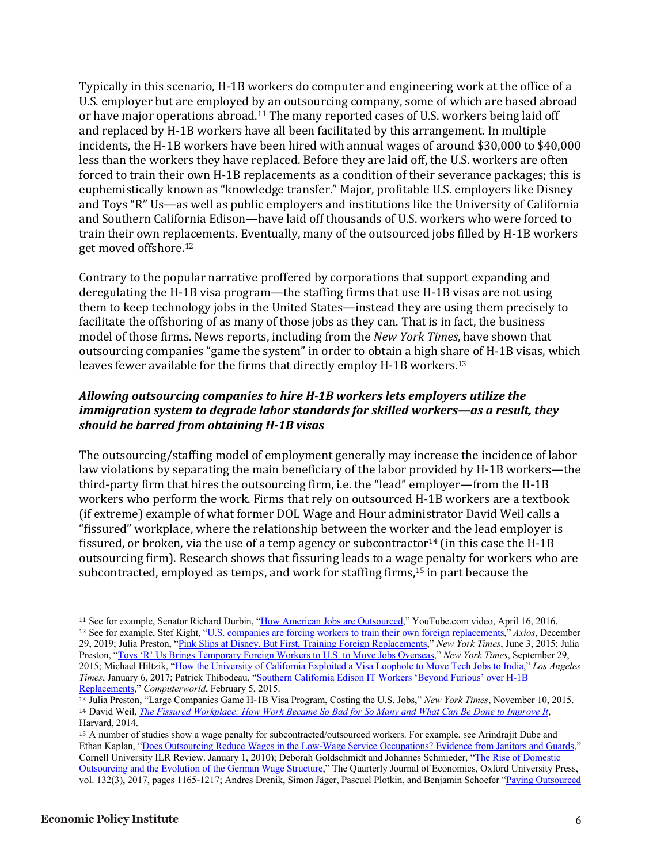Typically in this scenario, H-1B workers do computer and engineering work at the office of a U.S. employer but are employed by an outsourcing company, some of which are based abroad or have major operations abroad.<sup>11</sup> The many reported cases of U.S. workers being laid off and replaced by H-1B workers have all been facilitated by this arrangement. In multiple incidents, the H-1B workers have been hired with annual wages of around \$30,000 to \$40,000 less than the workers they have replaced. Before they are laid off, the U.S. workers are often forced to train their own H-1B replacements as a condition of their severance packages; this is euphemistically known as "knowledge transfer." Major, profitable U.S. employers like Disney and Toys "R" Us—as well as public employers and institutions like the University of California and Southern California Edison—have laid off thousands of U.S. workers who were forced to train their own replacements. Eventually, many of the outsourced jobs filled by H-1B workers get moved offshore.<sup>12</sup>

Contrary to the popular narrative proffered by corporations that support expanding and deregulating the H-1B visa program—the staffing firms that use H-1B visas are not using them to keep technology jobs in the United States—instead they are using them precisely to facilitate the offshoring of as many of those jobs as they can. That is in fact, the business model of those firms. News reports, including from the *New York Times*, have shown that outsourcing companies "game the system" in order to obtain a high share of H-1B visas, which leaves fewer available for the firms that directly employ  $H-1B$  workers.<sup>13</sup>

# Allowing outsourcing companies to hire H-1B workers lets employers utilize the *immigration system to degrade labor standards for skilled workers—as a result, they should be barred from obtaining H-1B visas*

The outsourcing/staffing model of employment generally may increase the incidence of labor law violations by separating the main beneficiary of the labor provided by H-1B workers—the third-party firm that hires the outsourcing firm, i.e. the "lead" employer—from the H-1B workers who perform the work. Firms that rely on outsourced H-1B workers are a textbook (if extreme) example of what former DOL Wage and Hour administrator David Weil calls a "fissured" workplace, where the relationship between the worker and the lead employer is fissured, or broken, via the use of a temp agency or subcontractor<sup>14</sup> (in this case the H-1B outsourcing firm). Research shows that fissuring leads to a wage penalty for workers who are subcontracted, employed as temps, and work for staffing firms,<sup>15</sup> in part because the

<sup>11</sup> See for example, Senator Richard Durbin, "How American Jobs are Outsourced," YouTube.com video, April 16, 2016. <sup>12</sup> See for example, Stef Kight, "U.S. companies are forcing workers to train their own foreign replacements," *Axios*, December 29, 2019; Julia Preston, "Pink Slips at Disney. But First, Training Foreign Replacements," *New York Times*, June 3, 2015; Julia Preston, "Toys 'R' Us Brings Temporary Foreign Workers to U.S. to Move Jobs Overseas," *New York Times*, September 29, 2015; Michael Hiltzik, "How the University of California Exploited a Visa Loophole to Move Tech Jobs to India," *Los Angeles Times*, January 6, 2017; Patrick Thibodeau, "Southern California Edison IT Workers 'Beyond Furious' over H-1B Replacements," *Computerworld*, February 5, 2015.

<sup>13</sup> Julia Preston, "Large Companies Game H-1B Visa Program, Costing the U.S. Jobs," *New York Times*, November 10, 2015. <sup>14</sup> David Weil, *The Fissured Workplace: How Work Became So Bad for So Many and What Can Be Done to Improve It*, Harvard, 2014.

<sup>15</sup> A number of studies show a wage penalty for subcontracted/outsourced workers. For example, see Arindrajit Dube and Ethan Kaplan, "Does Outsourcing Reduce Wages in the Low-Wage Service Occupations? Evidence from Janitors and Guards," Cornell University ILR Review. January 1, 2010); Deborah Goldschmidt and Johannes Schmieder, "The Rise of Domestic Outsourcing and the Evolution of the German Wage Structure," The Quarterly Journal of Economics, Oxford University Press, vol. 132(3), 2017, pages 1165-1217; Andres Drenik, Simon Jäger, Pascuel Plotkin, and Benjamin Schoefer "Paying Outsourced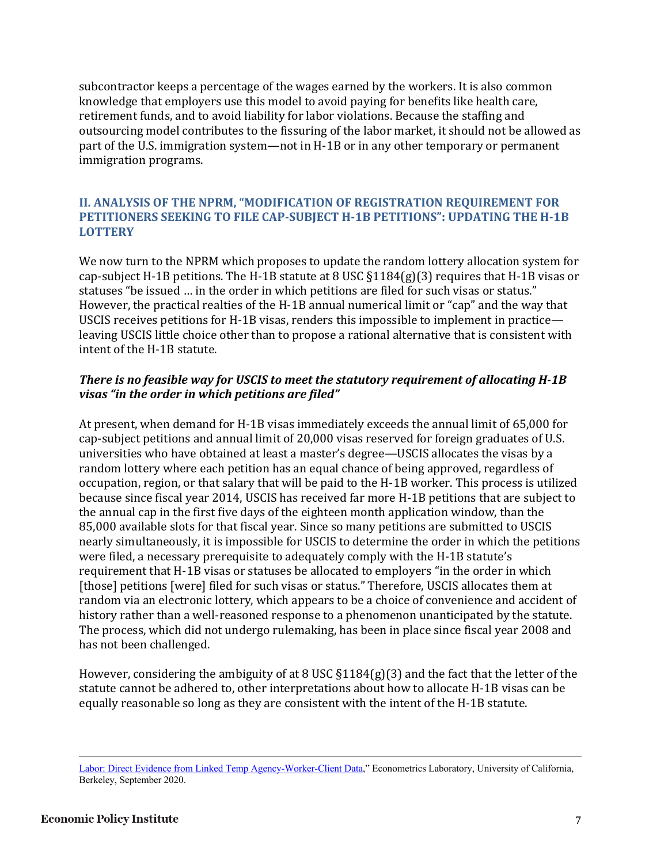subcontractor keeps a percentage of the wages earned by the workers. It is also common knowledge that employers use this model to avoid paying for benefits like health care, retirement funds, and to avoid liability for labor violations. Because the staffing and outsourcing model contributes to the fissuring of the labor market, it should not be allowed as part of the U.S. immigration system—not in H-1B or in any other temporary or permanent immigration programs.

#### **II. ANALYSIS OF THE NPRM, "MODIFICATION OF REGISTRATION REQUIREMENT FOR PETITIONERS SEEKING TO FILE CAP-SUBJECT H-1B PETITIONS": UPDATING THE H-1B LOTTERY**

We now turn to the NPRM which proposes to update the random lottery allocation system for cap-subject H-1B petitions. The H-1B statute at 8 USC  $\S1184(g)(3)$  requires that H-1B visas or statuses "be issued ... in the order in which petitions are filed for such visas or status." However, the practical realties of the H-1B annual numerical limit or "cap" and the way that USCIS receives petitions for H-1B visas, renders this impossible to implement in practice leaving USCIS little choice other than to propose a rational alternative that is consistent with intent of the H-1B statute.

# There is no feasible way for USCIS to meet the statutory requirement of allocating **H-1B** visas "in the order in which petitions are filed"

At present, when demand for H-1B visas immediately exceeds the annual limit of 65,000 for cap-subject petitions and annual limit of 20,000 visas reserved for foreign graduates of U.S. universities who have obtained at least a master's degree—USCIS allocates the visas by a random lottery where each petition has an equal chance of being approved, regardless of occupation, region, or that salary that will be paid to the H-1B worker. This process is utilized because since fiscal year 2014, USCIS has received far more H-1B petitions that are subject to the annual cap in the first five days of the eighteen month application window, than the 85,000 available slots for that fiscal year. Since so many petitions are submitted to USCIS nearly simultaneously, it is impossible for USCIS to determine the order in which the petitions were filed, a necessary prerequisite to adequately comply with the H-1B statute's requirement that H-1B visas or statuses be allocated to employers "in the order in which [those] petitions [were] filed for such visas or status." Therefore, USCIS allocates them at random via an electronic lottery, which appears to be a choice of convenience and accident of history rather than a well-reasoned response to a phenomenon unanticipated by the statute. The process, which did not undergo rulemaking, has been in place since fiscal year 2008 and has not been challenged.

However, considering the ambiguity of at 8 USC  $\S1184(g)(3)$  and the fact that the letter of the statute cannot be adhered to, other interpretations about how to allocate H-1B visas can be equally reasonable so long as they are consistent with the intent of the H-1B statute.

Labor: Direct Evidence from Linked Temp Agency-Worker-Client Data," Econometrics Laboratory, University of California, Berkeley, September 2020.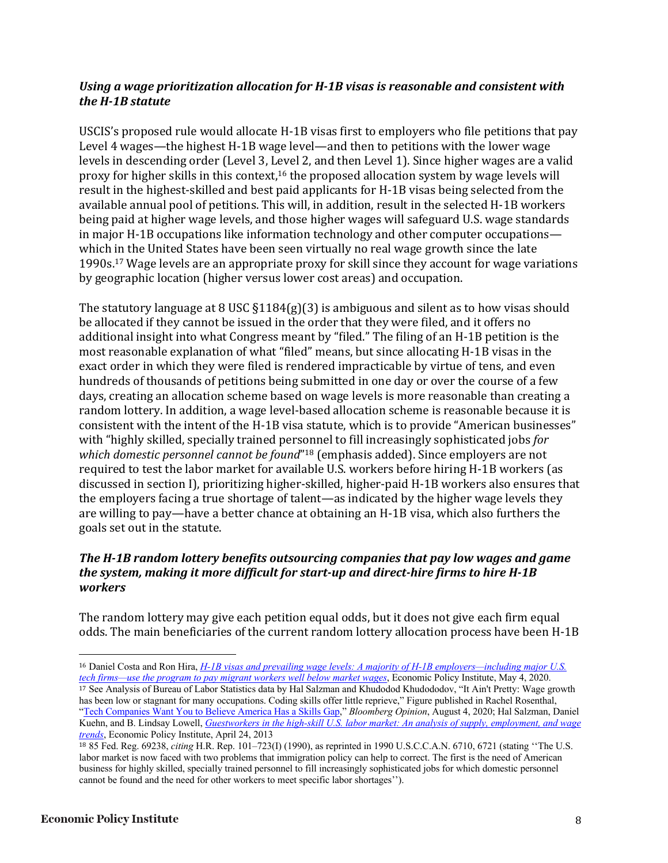#### Using a wage prioritization allocation for H-1B visas is reasonable and consistent with the **H-1B** statute

USCIS's proposed rule would allocate H-1B visas first to employers who file petitions that pay Level 4 wages—the highest H-1B wage level—and then to petitions with the lower wage levels in descending order (Level 3, Level 2, and then Level 1). Since higher wages are a valid proxy for higher skills in this context,<sup>16</sup> the proposed allocation system by wage levels will result in the highest-skilled and best paid applicants for H-1B visas being selected from the available annual pool of petitions. This will, in addition, result in the selected H-1B workers being paid at higher wage levels, and those higher wages will safeguard U.S. wage standards in major H-1B occupations like information technology and other computer occupations which in the United States have been seen virtually no real wage growth since the late 1990s.<sup>17</sup> Wage levels are an appropriate proxy for skill since they account for wage variations by geographic location (higher versus lower cost areas) and occupation.

The statutory language at 8 USC  $\S1184(g)(3)$  is ambiguous and silent as to how visas should be allocated if they cannot be issued in the order that they were filed, and it offers no additional insight into what Congress meant by "filed." The filing of an H-1B petition is the most reasonable explanation of what "filed" means, but since allocating H-1B visas in the exact order in which they were filed is rendered impracticable by virtue of tens, and even hundreds of thousands of petitions being submitted in one day or over the course of a few days, creating an allocation scheme based on wage levels is more reasonable than creating a random lottery. In addition, a wage level-based allocation scheme is reasonable because it is consistent with the intent of the H-1B visa statute, which is to provide "American businesses" with "highly skilled, specially trained personnel to fill increasingly sophisticated jobs *for which domestic personnel cannot be found*"<sup>18</sup> (emphasis added). Since employers are not required to test the labor market for available U.S. workers before hiring H-1B workers (as discussed in section I), prioritizing higher-skilled, higher-paid H-1B workers also ensures that the employers facing a true shortage of talent—as indicated by the higher wage levels they are willing to pay—have a better chance at obtaining an H-1B visa, which also furthers the goals set out in the statute.

#### The H-1B random lottery benefits outsourcing companies that pay low wages and game *the system, making it more difficult for start-up and direct-hire firms to hire H-1B workers*

The random lottery may give each petition equal odds, but it does not give each firm equal odds. The main beneficiaries of the current random lottery allocation process have been H-1B

<sup>16</sup> Daniel Costa and Ron Hira, *H-1B visas and prevailing wage levels: A majority of H-1B employers—including major U.S. tech firms—use the program to pay migrant workers well below market wages*, Economic Policy Institute, May 4, 2020. <sup>17</sup> See Analysis of Bureau of Labor Statistics data by Hal Salzman and Khudodod Khudododov, "It Ain't Pretty: Wage growth has been low or stagnant for many occupations. Coding skills offer little reprieve," Figure published in Rachel Rosenthal, "Tech Companies Want You to Believe America Has a Skills Gap," *Bloomberg Opinion*, August 4, 2020; Hal Salzman, Daniel Kuehn, and B. Lindsay Lowell, *Guestworkers in the high-skill U.S. labor market: An analysis of supply, employment, and wage trends*, Economic Policy Institute, April 24, 2013

<sup>18</sup> 85 Fed. Reg. 69238, *citing* H.R. Rep. 101–723(I) (1990), as reprinted in 1990 U.S.C.C.A.N. 6710, 6721 (stating ''The U.S. labor market is now faced with two problems that immigration policy can help to correct. The first is the need of American business for highly skilled, specially trained personnel to fill increasingly sophisticated jobs for which domestic personnel cannot be found and the need for other workers to meet specific labor shortages'').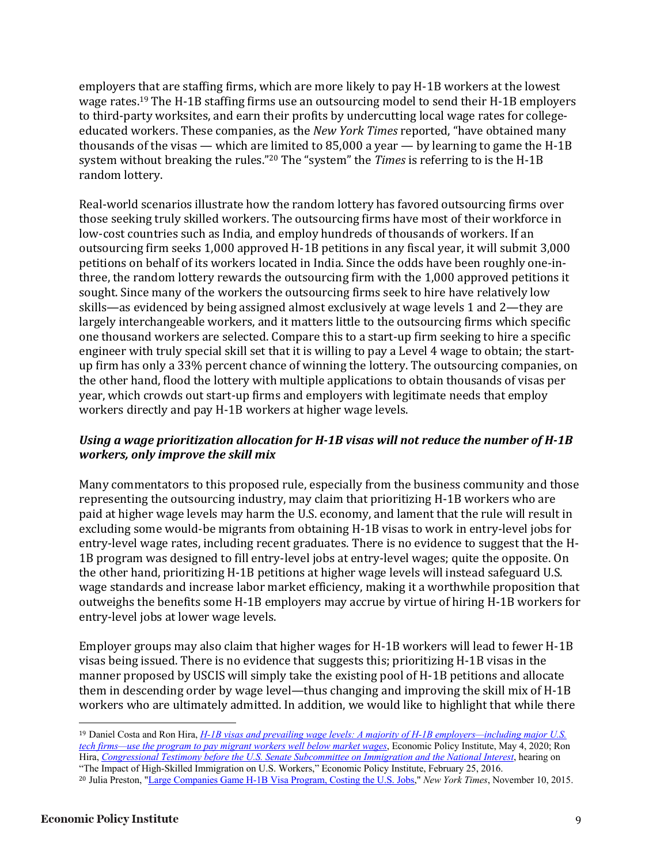employers that are staffing firms, which are more likely to pay H-1B workers at the lowest wage rates.<sup>19</sup> The H-1B staffing firms use an outsourcing model to send their H-1B employers to third-party worksites, and earn their profits by undercutting local wage rates for collegeeducated workers. These companies, as the *New York Times* reported, "have obtained many thousands of the visas — which are limited to  $85,000$  a year — by learning to game the H-1B system without breaking the rules."<sup>20</sup> The "system" the *Times* is referring to is the H-1B random lottery.

Real-world scenarios illustrate how the random lottery has favored outsourcing firms over those seeking truly skilled workers. The outsourcing firms have most of their workforce in low-cost countries such as India, and employ hundreds of thousands of workers. If an outsourcing firm seeks 1,000 approved H-1B petitions in any fiscal year, it will submit 3,000 petitions on behalf of its workers located in India. Since the odds have been roughly one-inthree, the random lottery rewards the outsourcing firm with the 1,000 approved petitions it sought. Since many of the workers the outsourcing firms seek to hire have relatively low skills—as evidenced by being assigned almost exclusively at wage levels 1 and 2—they are largely interchangeable workers, and it matters little to the outsourcing firms which specific one thousand workers are selected. Compare this to a start-up firm seeking to hire a specific engineer with truly special skill set that it is willing to pay a Level 4 wage to obtain; the startup firm has only a 33% percent chance of winning the lottery. The outsourcing companies, on the other hand, flood the lottery with multiple applications to obtain thousands of visas per year, which crowds out start-up firms and employers with legitimate needs that employ workers directly and pay H-1B workers at higher wage levels.

# Using a wage prioritization allocation for H-1B visas will not reduce the number of H-1B *workers, only improve the skill mix*

Many commentators to this proposed rule, especially from the business community and those representing the outsourcing industry, may claim that prioritizing H-1B workers who are paid at higher wage levels may harm the U.S. economy, and lament that the rule will result in excluding some would-be migrants from obtaining H-1B visas to work in entry-level jobs for entry-level wage rates, including recent graduates. There is no evidence to suggest that the H-1B program was designed to fill entry-level jobs at entry-level wages; quite the opposite. On the other hand, prioritizing H-1B petitions at higher wage levels will instead safeguard U.S. wage standards and increase labor market efficiency, making it a worthwhile proposition that outweighs the benefits some H-1B employers may accrue by virtue of hiring H-1B workers for entry-level jobs at lower wage levels.

Employer groups may also claim that higher wages for H-1B workers will lead to fewer H-1B visas being issued. There is no evidence that suggests this; prioritizing  $H-1B$  visas in the manner proposed by USCIS will simply take the existing pool of H-1B petitions and allocate them in descending order by wage level—thus changing and improving the skill mix of  $H$ -1B workers who are ultimately admitted. In addition, we would like to highlight that while there

<sup>19</sup> Daniel Costa and Ron Hira, *H-1B visas and prevailing wage levels: A majority of H-1B employers—including major U.S. tech firms—use the program to pay migrant workers well below market wages*, Economic Policy Institute, May 4, 2020; Ron Hira, *Congressional Testimony before the U.S. Senate Subcommittee on Immigration and the National Interest*, hearing on "The Impact of High-Skilled Immigration on U.S. Workers," Economic Policy Institute, February 25, 2016.

<sup>20</sup> Julia Preston, "Large Companies Game H-1B Visa Program, Costing the U.S. Jobs," *New York Times*, November 10, 2015.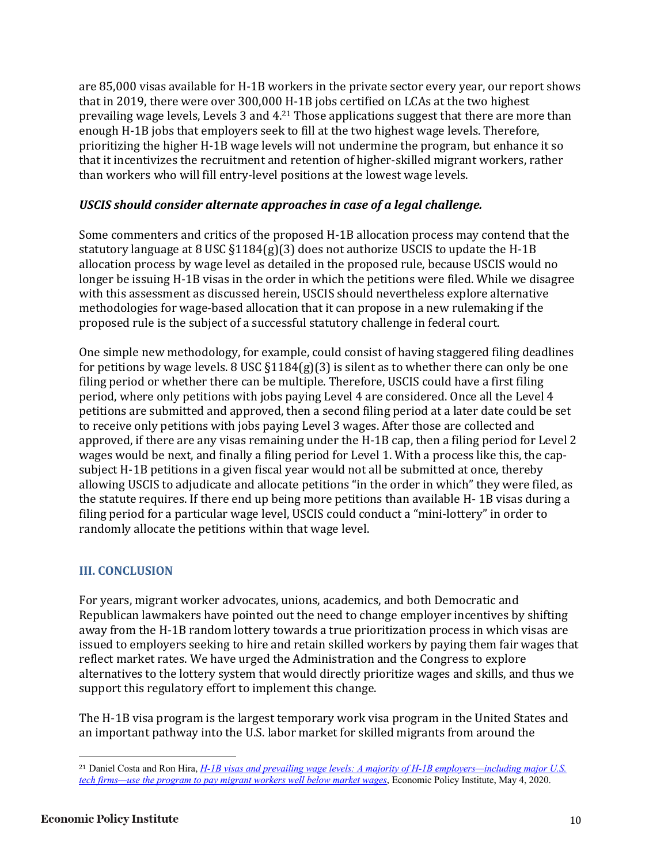are 85,000 visas available for H-1B workers in the private sector every year, our report shows that in 2019, there were over 300,000 H-1B jobs certified on LCAs at the two highest prevailing wage levels, Levels 3 and  $4<sup>21</sup>$  Those applications suggest that there are more than enough H-1B jobs that employers seek to fill at the two highest wage levels. Therefore, prioritizing the higher H-1B wage levels will not undermine the program, but enhance it so that it incentivizes the recruitment and retention of higher-skilled migrant workers, rather than workers who will fill entry-level positions at the lowest wage levels.

#### USCIS should consider alternate approaches in case of a legal challenge.

Some commenters and critics of the proposed H-1B allocation process may contend that the statutory language at 8 USC  $\S1184(g)(3)$  does not authorize USCIS to update the H-1B allocation process by wage level as detailed in the proposed rule, because USCIS would no longer be issuing H-1B visas in the order in which the petitions were filed. While we disagree with this assessment as discussed herein, USCIS should nevertheless explore alternative methodologies for wage-based allocation that it can propose in a new rulemaking if the proposed rule is the subject of a successful statutory challenge in federal court.

One simple new methodology, for example, could consist of having staggered filing deadlines for petitions by wage levels.  $8 \text{ USC } \S 1184(g)(3)$  is silent as to whether there can only be one filing period or whether there can be multiple. Therefore, USCIS could have a first filing period, where only petitions with jobs paying Level 4 are considered. Once all the Level 4 petitions are submitted and approved, then a second filing period at a later date could be set to receive only petitions with jobs paying Level 3 wages. After those are collected and approved, if there are any visas remaining under the H-1B cap, then a filing period for Level 2 wages would be next, and finally a filing period for Level 1. With a process like this, the capsubject H-1B petitions in a given fiscal year would not all be submitted at once, thereby allowing USCIS to adjudicate and allocate petitions "in the order in which" they were filed, as the statute requires. If there end up being more petitions than available H-1B visas during a filing period for a particular wage level, USCIS could conduct a "mini-lottery" in order to randomly allocate the petitions within that wage level.

# **III. CONCLUSION**

For years, migrant worker advocates, unions, academics, and both Democratic and Republican lawmakers have pointed out the need to change employer incentives by shifting away from the H-1B random lottery towards a true prioritization process in which visas are issued to employers seeking to hire and retain skilled workers by paying them fair wages that reflect market rates. We have urged the Administration and the Congress to explore alternatives to the lottery system that would directly prioritize wages and skills, and thus we support this regulatory effort to implement this change.

The H-1B visa program is the largest temporary work visa program in the United States and an important pathway into the U.S. labor market for skilled migrants from around the

<sup>21</sup> Daniel Costa and Ron Hira, *H-1B visas and prevailing wage levels: A majority of H-1B employers—including major U.S. tech firms—use the program to pay migrant workers well below market wages*, Economic Policy Institute, May 4, 2020.